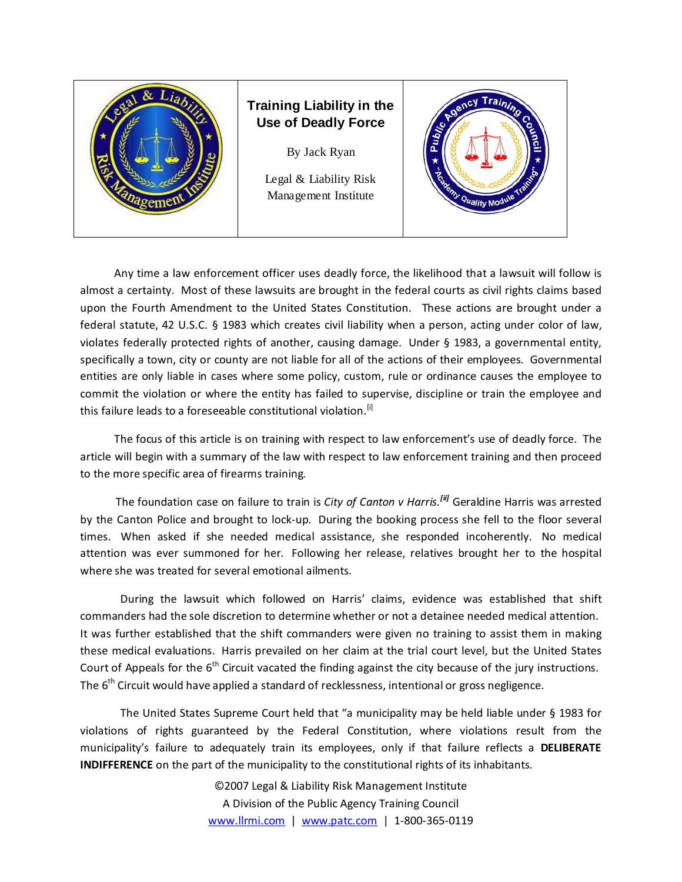

## **Training Liability in the Use of Deadly Force**

By Jack Ryan

Legal & Liability Risk Management Institute



 Any time a law enforcement officer uses deadly force, the likelihood that a lawsuit will follow is almost a certainty. Most of these lawsuits are brought in the federal courts as civil rights claims based upon the Fourth Amendment to the United States Constitution. These actions are brought under a federal statute, 42 U.S.C. § 1983 which creates civil liability when a person, acting under color of law, violates federally protected rights of another, causing damage. Under § 1983, a governmental entity, specifically a town, city or county are not liable for all of the actions of their employees. Governmental entities are only liable in cases where some policy, custom, rule or ordinance causes the employee to commit the violation or where the entity has failed to supervise, discipline or train the employee and this failure leads to a foreseeable constitutional violation.<sup>[i]</sup>

 The focus of this article is on training with respect to law enforcement's use of deadly force. The article will begin with a summary of the law with respect to law enforcement training and then proceed to the more specific area of firearms training.

 The foundation case on failure to train is *City of Canton v Harris.[ii]* Geraldine Harris was arrested by the Canton Police and brought to lock‐up. During the booking process she fell to the floor several times. When asked if she needed medical assistance, she responded incoherently. No medical attention was ever summoned for her. Following her release, relatives brought her to the hospital where she was treated for several emotional ailments.

During the lawsuit which followed on Harris' claims, evidence was established that shift commanders had the sole discretion to determine whether or not a detainee needed medical attention. It was further established that the shift commanders were given no training to assist them in making these medical evaluations. Harris prevailed on her claim at the trial court level, but the United States Court of Appeals for the  $6<sup>th</sup>$  Circuit vacated the finding against the city because of the jury instructions. The  $6<sup>th</sup>$  Circuit would have applied a standard of recklessness, intentional or gross negligence.

The United States Supreme Court held that "a municipality may be held liable under § 1983 for violations of rights guaranteed by the Federal Constitution, where violations result from the municipality's failure to adequately train its employees, only if that failure reflects a **DELIBERATE INDIFFERENCE** on the part of the municipality to the constitutional rights of its inhabitants.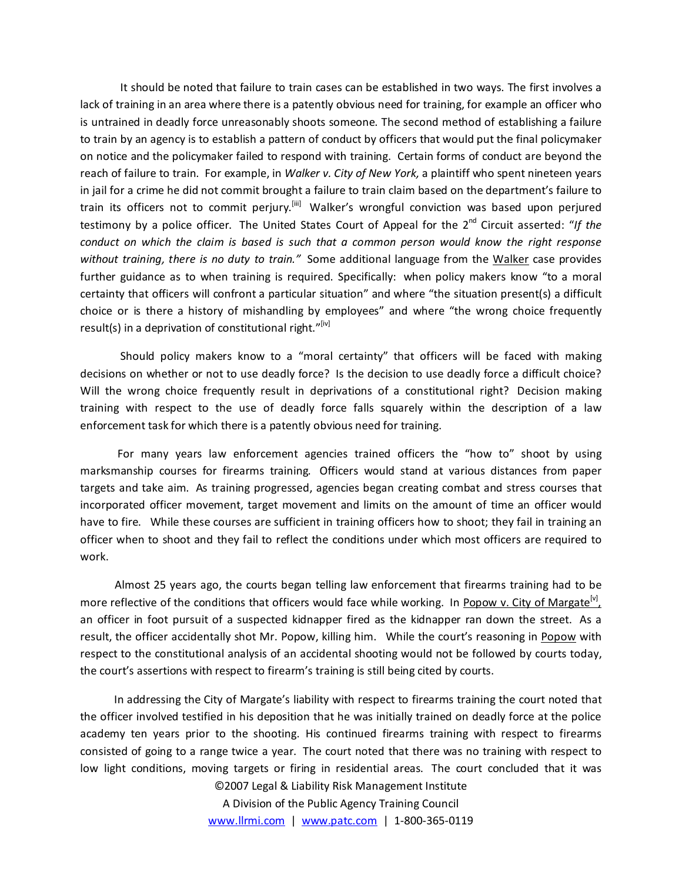It should be noted that failure to train cases can be established in two ways. The first involves a lack of training in an area where there is a patently obvious need for training, for example an officer who is untrained in deadly force unreasonably shoots someone. The second method of establishing a failure to train by an agency is to establish a pattern of conduct by officers that would put the final policymaker on notice and the policymaker failed to respond with training. Certain forms of conduct are beyond the reach of failure to train. For example, in *Walker v. City of New York,* a plaintiff who spent nineteen years in jail for a crime he did not commit brought a failure to train claim based on the department's failure to train its officers not to commit perjury.<sup>[iii]</sup> Walker's wrongful conviction was based upon perjured testimony by a police officer. The United States Court of Appeal for the 2<sup>nd</sup> Circuit asserted: "If the *conduct on which the claim is based is such that a common person would know the right response without training, there is no duty to train."* Some additional language from the Walker case provides further guidance as to when training is required. Specifically: when policy makers know "to a moral certainty that officers will confront a particular situation" and where "the situation present(s) a difficult choice or is there a history of mishandling by employees" and where "the wrong choice frequently result(s) in a deprivation of constitutional right."[iv]

Should policy makers know to a "moral certainty" that officers will be faced with making decisions on whether or not to use deadly force? Is the decision to use deadly force a difficult choice? Will the wrong choice frequently result in deprivations of a constitutional right? Decision making training with respect to the use of deadly force falls squarely within the description of a law enforcement task for which there is a patently obvious need for training.

 For many years law enforcement agencies trained officers the "how to" shoot by using marksmanship courses for firearms training. Officers would stand at various distances from paper targets and take aim. As training progressed, agencies began creating combat and stress courses that incorporated officer movement, target movement and limits on the amount of time an officer would have to fire. While these courses are sufficient in training officers how to shoot; they fail in training an officer when to shoot and they fail to reflect the conditions under which most officers are required to work.

 Almost 25 years ago, the courts began telling law enforcement that firearms training had to be more reflective of the conditions that officers would face while working. In Popow v. City of Margate<sup>[v]</sup>, an officer in foot pursuit of a suspected kidnapper fired as the kidnapper ran down the street. As a result, the officer accidentally shot Mr. Popow, killing him. While the court's reasoning in Popow with respect to the constitutional analysis of an accidental shooting would not be followed by courts today, the court's assertions with respect to firearm's training is still being cited by courts.

©2007 Legal & Liability Risk Management Institute In addressing the City of Margate's liability with respect to firearms training the court noted that the officer involved testified in his deposition that he was initially trained on deadly force at the police academy ten years prior to the shooting. His continued firearms training with respect to firearms consisted of going to a range twice a year. The court noted that there was no training with respect to low light conditions, moving targets or firing in residential areas. The court concluded that it was

> A Division of the Public Agency Training Council www.llrmi.com | www.patc.com | 1‐800‐365‐0119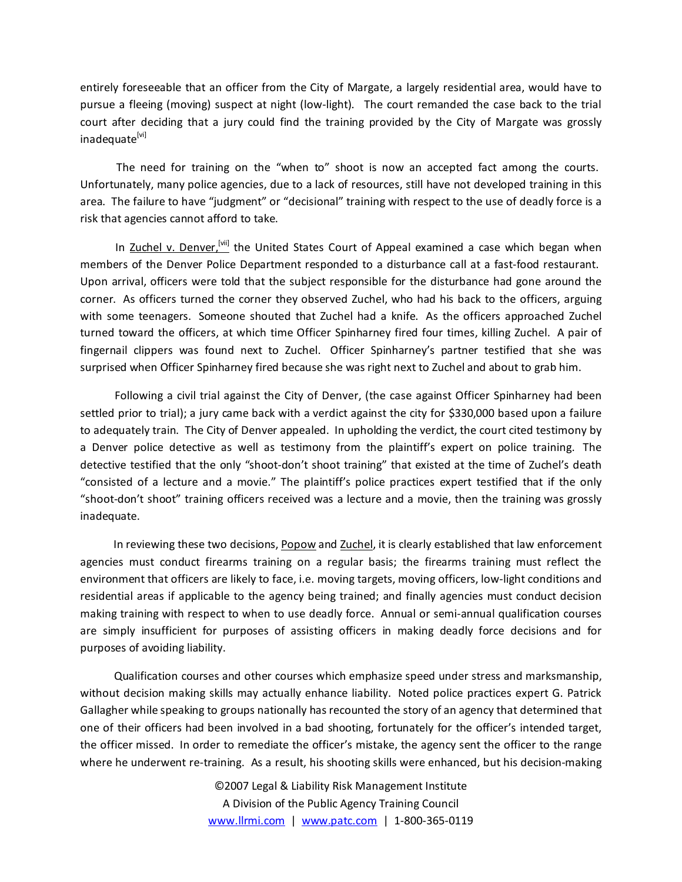entirely foreseeable that an officer from the City of Margate, a largely residential area, would have to pursue a fleeing (moving) suspect at night (low‐light). The court remanded the case back to the trial court after deciding that a jury could find the training provided by the City of Margate was grossly inadequate<sup>[vi]</sup>

 The need for training on the "when to" shoot is now an accepted fact among the courts. Unfortunately, many police agencies, due to a lack of resources, still have not developed training in this area. The failure to have "judgment" or "decisional" training with respect to the use of deadly force is a risk that agencies cannot afford to take.

In Zuchel v. Denver,<sup>[vii]</sup> the United States Court of Appeal examined a case which began when members of the Denver Police Department responded to a disturbance call at a fast-food restaurant. Upon arrival, officers were told that the subject responsible for the disturbance had gone around the corner. As officers turned the corner they observed Zuchel, who had his back to the officers, arguing with some teenagers. Someone shouted that Zuchel had a knife. As the officers approached Zuchel turned toward the officers, at which time Officer Spinharney fired four times, killing Zuchel. A pair of fingernail clippers was found next to Zuchel. Officer Spinharney's partner testified that she was surprised when Officer Spinharney fired because she was right next to Zuchel and about to grab him.

 Following a civil trial against the City of Denver, (the case against Officer Spinharney had been settled prior to trial); a jury came back with a verdict against the city for \$330,000 based upon a failure to adequately train. The City of Denver appealed. In upholding the verdict, the court cited testimony by a Denver police detective as well as testimony from the plaintiff's expert on police training. The detective testified that the only "shoot-don't shoot training" that existed at the time of Zuchel's death "consisted of a lecture and a movie." The plaintiff's police practices expert testified that if the only "shoot‐don't shoot" training officers received was a lecture and a movie, then the training was grossly inadequate.

In reviewing these two decisions, Popow and Zuchel, it is clearly established that law enforcement agencies must conduct firearms training on a regular basis; the firearms training must reflect the environment that officers are likely to face, i.e. moving targets, moving officers, low‐light conditions and residential areas if applicable to the agency being trained; and finally agencies must conduct decision making training with respect to when to use deadly force. Annual or semi‐annual qualification courses are simply insufficient for purposes of assisting officers in making deadly force decisions and for purposes of avoiding liability.

 Qualification courses and other courses which emphasize speed under stress and marksmanship, without decision making skills may actually enhance liability. Noted police practices expert G. Patrick Gallagher while speaking to groups nationally has recounted the story of an agency that determined that one of their officers had been involved in a bad shooting, fortunately for the officer's intended target, the officer missed. In order to remediate the officer's mistake, the agency sent the officer to the range where he underwent re-training. As a result, his shooting skills were enhanced, but his decision-making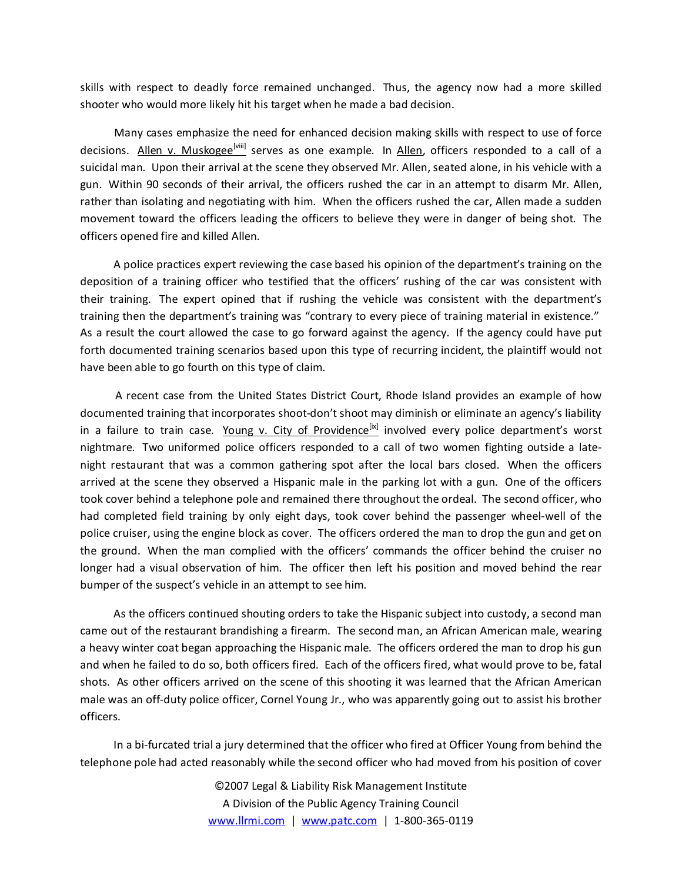skills with respect to deadly force remained unchanged. Thus, the agency now had a more skilled shooter who would more likely hit his target when he made a bad decision.

 Many cases emphasize the need for enhanced decision making skills with respect to use of force decisions. Allen v. Muskogee<sup>[viii]</sup> serves as one example. In Allen, officers responded to a call of a suicidal man. Upon their arrival at the scene they observed Mr. Allen, seated alone, in his vehicle with a gun. Within 90 seconds of their arrival, the officers rushed the car in an attempt to disarm Mr. Allen, rather than isolating and negotiating with him. When the officers rushed the car, Allen made a sudden movement toward the officers leading the officers to believe they were in danger of being shot. The officers opened fire and killed Allen.

 A police practices expert reviewing the case based his opinion of the department's training on the deposition of a training officer who testified that the officers' rushing of the car was consistent with their training. The expert opined that if rushing the vehicle was consistent with the department's training then the department's training was "contrary to every piece of training material in existence." As a result the court allowed the case to go forward against the agency. If the agency could have put forth documented training scenarios based upon this type of recurring incident, the plaintiff would not have been able to go fourth on this type of claim.

 A recent case from the United States District Court, Rhode Island provides an example of how documented training that incorporates shoot‐don't shoot may diminish or eliminate an agency's liability in a failure to train case. Young v. City of Providence<sup>[ix]</sup> involved every police department's worst nightmare. Two uniformed police officers responded to a call of two women fighting outside a late‐ night restaurant that was a common gathering spot after the local bars closed. When the officers arrived at the scene they observed a Hispanic male in the parking lot with a gun. One of the officers took cover behind a telephone pole and remained there throughout the ordeal. The second officer, who had completed field training by only eight days, took cover behind the passenger wheel‐well of the police cruiser, using the engine block as cover. The officers ordered the man to drop the gun and get on the ground. When the man complied with the officers' commands the officer behind the cruiser no longer had a visual observation of him. The officer then left his position and moved behind the rear bumper of the suspect's vehicle in an attempt to see him.

 As the officers continued shouting orders to take the Hispanic subject into custody, a second man came out of the restaurant brandishing a firearm. The second man, an African American male, wearing a heavy winter coat began approaching the Hispanic male. The officers ordered the man to drop his gun and when he failed to do so, both officers fired. Each of the officers fired, what would prove to be, fatal shots. As other officers arrived on the scene of this shooting it was learned that the African American male was an off-duty police officer, Cornel Young Jr., who was apparently going out to assist his brother officers.

In a bi-furcated trial a jury determined that the officer who fired at Officer Young from behind the telephone pole had acted reasonably while the second officer who had moved from his position of cover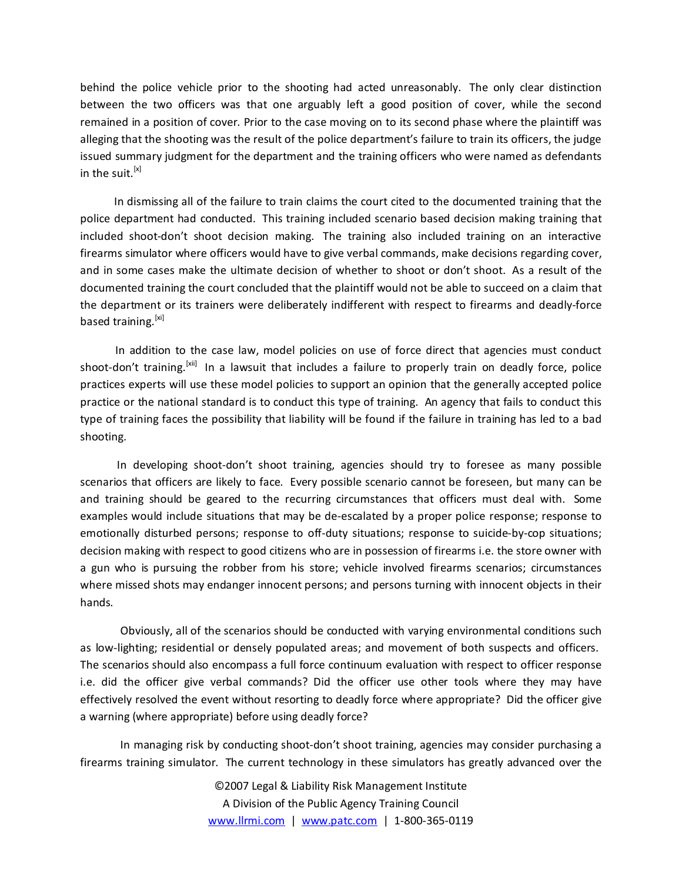behind the police vehicle prior to the shooting had acted unreasonably. The only clear distinction between the two officers was that one arguably left a good position of cover, while the second remained in a position of cover. Prior to the case moving on to its second phase where the plaintiff was alleging that the shooting was the result of the police department's failure to train its officers, the judge issued summary judgment for the department and the training officers who were named as defendants in the suit.  $[x]$ 

 In dismissing all of the failure to train claims the court cited to the documented training that the police department had conducted. This training included scenario based decision making training that included shoot-don't shoot decision making. The training also included training on an interactive firearms simulator where officers would have to give verbal commands, make decisions regarding cover, and in some cases make the ultimate decision of whether to shoot or don't shoot. As a result of the documented training the court concluded that the plaintiff would not be able to succeed on a claim that the department or its trainers were deliberately indifferent with respect to firearms and deadly‐force based training.<sup>[xi]</sup>

 In addition to the case law, model policies on use of force direct that agencies must conduct shoot-don't training.<sup>[xii]</sup> In a lawsuit that includes a failure to properly train on deadly force, police practices experts will use these model policies to support an opinion that the generally accepted police practice or the national standard is to conduct this type of training. An agency that fails to conduct this type of training faces the possibility that liability will be found if the failure in training has led to a bad shooting.

In developing shoot-don't shoot training, agencies should try to foresee as many possible scenarios that officers are likely to face. Every possible scenario cannot be foreseen, but many can be and training should be geared to the recurring circumstances that officers must deal with. Some examples would include situations that may be de‐escalated by a proper police response; response to emotionally disturbed persons; response to off-duty situations; response to suicide-by-cop situations; decision making with respect to good citizens who are in possession of firearms i.e. the store owner with a gun who is pursuing the robber from his store; vehicle involved firearms scenarios; circumstances where missed shots may endanger innocent persons; and persons turning with innocent objects in their hands.

Obviously, all of the scenarios should be conducted with varying environmental conditions such as low-lighting; residential or densely populated areas; and movement of both suspects and officers. The scenarios should also encompass a full force continuum evaluation with respect to officer response i.e. did the officer give verbal commands? Did the officer use other tools where they may have effectively resolved the event without resorting to deadly force where appropriate? Did the officer give a warning (where appropriate) before using deadly force?

In managing risk by conducting shoot‐don't shoot training, agencies may consider purchasing a firearms training simulator. The current technology in these simulators has greatly advanced over the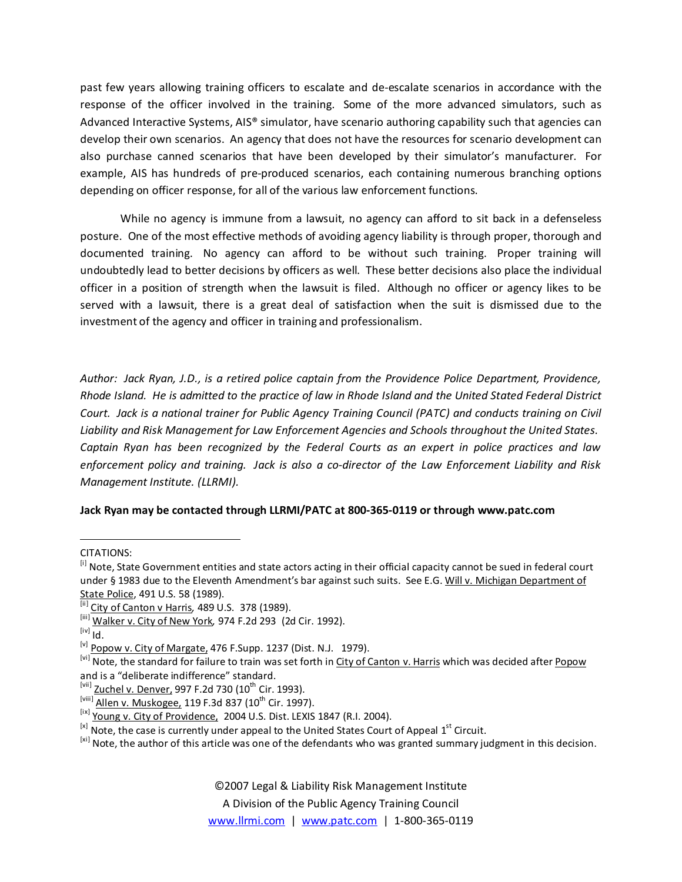past few years allowing training officers to escalate and de‐escalate scenarios in accordance with the response of the officer involved in the training. Some of the more advanced simulators, such as Advanced Interactive Systems, AIS® simulator, have scenario authoring capability such that agencies can develop their own scenarios. An agency that does not have the resources for scenario development can also purchase canned scenarios that have been developed by their simulator's manufacturer. For example, AIS has hundreds of pre‐produced scenarios, each containing numerous branching options depending on officer response, for all of the various law enforcement functions.

While no agency is immune from a lawsuit, no agency can afford to sit back in a defenseless posture. One of the most effective methods of avoiding agency liability is through proper, thorough and documented training. No agency can afford to be without such training. Proper training will undoubtedly lead to better decisions by officers as well. These better decisions also place the individual officer in a position of strength when the lawsuit is filed. Although no officer or agency likes to be served with a lawsuit, there is a great deal of satisfaction when the suit is dismissed due to the investment of the agency and officer in training and professionalism.

*Author: Jack Ryan, J.D., is a retired police captain from the Providence Police Department, Providence,* Rhode Island. He is admitted to the practice of law in Rhode Island and the United Stated Federal District Court. Jack is a national trainer for Public Agency Training Council (PATC) and conducts training on Civil *Liability and Risk Management for Law Enforcement Agencies and Schools throughout the United States. Captain Ryan has been recognized by the Federal Courts as an expert in police practices and law* enforcement policy and training. Jack is also a co-director of the Law Enforcement Liability and Risk *Management Institute. (LLRMI).*

## **Jack Ryan may be contacted through LLRMI/PATC at 800‐365‐0119 or through www.patc.com**

©2007 Legal & Liability Risk Management Institute

A Division of the Public Agency Training Council

www.llrmi.com | www.patc.com | 1‐800‐365‐0119

CITATIONS:

<sup>&</sup>lt;sup>[i]</sup> Note, State Government entities and state actors acting in their official capacity cannot be sued in federal court under § 1983 due to the Eleventh Amendment's bar against such suits. See E.G. Will v. Michigan Department of State Police, 491 U.S. 58 (1989).

<sup>&</sup>lt;sup>[ii]</sup> City of Canton v Harris, 489 U.S. 378 (1989).

<sup>[</sup>iii ] Walker v. City of New York*,* 974 F.2d 293 (2d Cir. 1992).

 $^{[iv]}$  Id.

<sup>&</sup>lt;sup>[v]</sup> Popow v. City of Margate, 476 F. Supp. 1237 (Dist. N.J. 1979).

<sup>&</sup>lt;sup>[vi]</sup> Note, the standard for failure to train was set forth in City of Canton v. Harris which was decided after Popow and is a "deliberate indifference" standard.

 $^{[vii]}$  Zuchel v. Denver, 997 F.2d 730 (10<sup>th</sup> Cir. 1993).

 $[<sup>Viiii]</sup>$  Allen v. Muskogee, 119 F.3d 837 (10<sup>th</sup> Cir. 1997).

<sup>&</sup>lt;sup>[ix]</sup> Young v. City of Providence, 2004 U.S. Dist. LEXIS 1847 (R.I. 2004).

 $^{[x]}$  Note, the case is currently under appeal to the United States Court of Appeal  $1<sup>st</sup>$  Circuit.

<sup>[</sup>xi] Note, the author of this article was one of the defendants who was granted summary judgment in this decision.